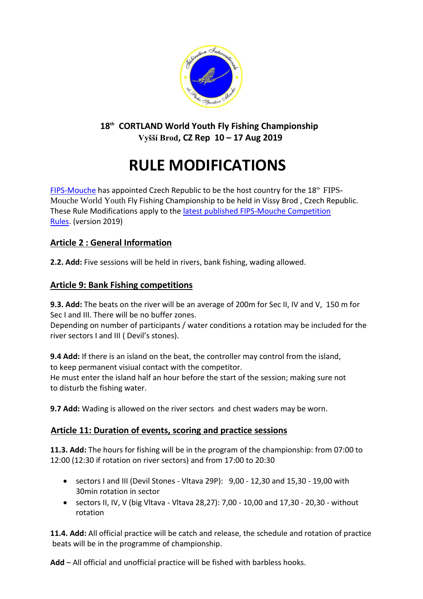

**18th CORTLAND World Youth Fly Fishing Championship Vyšší Brod, CZ Rep 10 – 17 Aug 2019**

# **RULE MODIFICATIONS**

[FIPS-Mouche](http://www.fips-mouche.com/) has appointed Czech Republic to be the host country for the 18<sup>th</sup> FIPS-Mouche World Youth Fly Fishing Championship to be held in Vissy Brod , Czech Republic. These Rule Modifications apply to the [latest published FIPS-Mouche Competition](http://www.fips-mouche.com/index.php?option=com_docman&Itemid=11)  [Rules.](http://www.fips-mouche.com/index.php?option=com_docman&Itemid=11) (version 2019)

# **Article 2 : General Information**

**2.2. Add:** Five sessions will be held in rivers, bank fishing, wading allowed.

## **Article 9: Bank Fishing competitions**

**9.3. Add:** The beats on the river will be an average of 200m for Sec II, IV and V, 150 m for Sec I and III. There will be no buffer zones.

Depending on number of participants / water conditions a rotation may be incIuded for the river sectors I and III ( Devil's stones).

**9.4 Add:** If there is an island on the beat, the controller may control from the island, to keep permanent visiual contact with the competitor.

He must enter the island half an hour before the start of the session; making sure not to disturb the fishing water.

**9.7 Add:** Wading is allowed on the river sectors  and chest waders may be worn.

# **Article 11: Duration of events, scoring and practice sessions**

**11.3. Add:** The hours for fishing will be in the program of the championship: from 07:00 to 12:00 (12:30 if rotation on river sectors) and from 17:00 to 20:30

- $\bullet$  sectors I and III (Devil Stones Vltava 29P):  $9.00 12.30$  and 15.30 19.00 with 30min rotation in sector
- sectors II, IV, V (big Vltava Vltava 28,27): 7,00 10,00 and 17,30 20,30 without rotation

**11.4. Add:** All official practice will be catch and release, the schedule and rotation of practice beats will be in the programme of championship.

**Add** – All official and unofficial practice will be fished with barbless hooks.